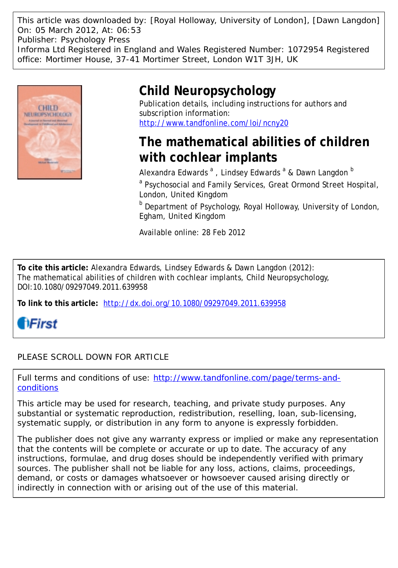This article was downloaded by: [Royal Holloway, University of London], [Dawn Langdon] On: 05 March 2012, At: 06:53 Publisher: Psychology Press Informa Ltd Registered in England and Wales Registered Number: 1072954 Registered office: Mortimer House, 37-41 Mortimer Street, London W1T 3JH, UK



# **Child Neuropsychology**

Publication details, including instructions for authors and subscription information: <http://www.tandfonline.com/loi/ncny20>

# **The mathematical abilities of children with cochlear implants**

Alexandra Edwards <sup>a</sup>, Lindsey Edwards <sup>a</sup> & Dawn Langdon <sup>b</sup> <sup>a</sup> Psychosocial and Family Services, Great Ormond Street Hospital, London, United Kingdom

**b** Department of Psychology, Royal Holloway, University of London, Egham, United Kingdom

Available online: 28 Feb 2012

**To cite this article:** Alexandra Edwards, Lindsey Edwards & Dawn Langdon (2012): The mathematical abilities of children with cochlear implants, Child Neuropsychology, DOI:10.1080/09297049.2011.639958

**To link to this article:** <http://dx.doi.org/10.1080/09297049.2011.639958>

**fiFirst** 

PLEASE SCROLL DOWN FOR ARTICLE

Full terms and conditions of use: [http://www.tandfonline.com/page/terms-and](http://www.tandfonline.com/page/terms-and-conditions)[conditions](http://www.tandfonline.com/page/terms-and-conditions)

This article may be used for research, teaching, and private study purposes. Any substantial or systematic reproduction, redistribution, reselling, loan, sub-licensing, systematic supply, or distribution in any form to anyone is expressly forbidden.

The publisher does not give any warranty express or implied or make any representation that the contents will be complete or accurate or up to date. The accuracy of any instructions, formulae, and drug doses should be independently verified with primary sources. The publisher shall not be liable for any loss, actions, claims, proceedings, demand, or costs or damages whatsoever or howsoever caused arising directly or indirectly in connection with or arising out of the use of this material.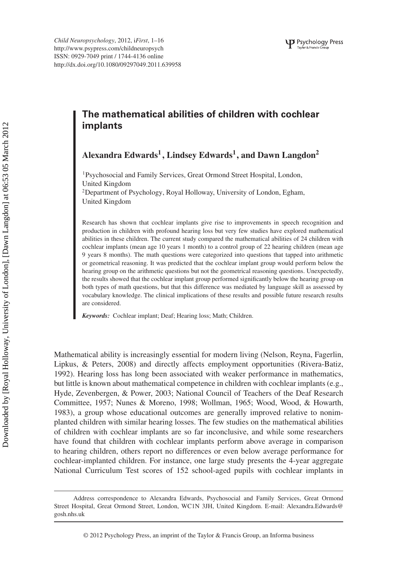*Child Neuropsychology*, 2012, i*First*, 1–16 <http://www.psypress.com/childneuropsych> ISSN: 0929-7049 print / 1744-4136 online <http://dx.doi.org/10.1080/09297049.2011.639958>

# **The mathematical abilities of children with cochlear implants**

**Alexandra Edwards1 , Lindsey Edwards1, and Dawn Langdon2**

<sup>1</sup>Psychosocial and Family Services, Great Ormond Street Hospital, London, United Kingdom

2Department of Psychology, Royal Holloway, University of London, Egham, United Kingdom

Research has shown that cochlear implants give rise to improvements in speech recognition and production in children with profound hearing loss but very few studies have explored mathematical abilities in these children. The current study compared the mathematical abilities of 24 children with cochlear implants (mean age 10 years 1 month) to a control group of 22 hearing children (mean age 9 years 8 months). The math questions were categorized into questions that tapped into arithmetic or geometrical reasoning. It was predicted that the cochlear implant group would perform below the hearing group on the arithmetic questions but not the geometrical reasoning questions. Unexpectedly, the results showed that the cochlear implant group performed significantly below the hearing group on both types of math questions, but that this difference was mediated by language skill as assessed by vocabulary knowledge. The clinical implications of these results and possible future research results are considered.

*Keywords:* Cochlear implant; Deaf; Hearing loss; Math; Children.

Mathematical ability is increasingly essential for modern living (Nelson, Reyna, Fagerlin, Lipkus, & Peters, 2008) and directly affects employment opportunities (Rivera-Batiz, 1992). Hearing loss has long been associated with weaker performance in mathematics, but little is known about mathematical competence in children with cochlear implants (e.g., Hyde, Zevenbergen, & Power, 2003; National Council of Teachers of the Deaf Research Committee, 1957; Nunes & Moreno, 1998; Wollman, 1965; Wood, Wood, & Howarth, 1983), a group whose educational outcomes are generally improved relative to nonimplanted children with similar hearing losses. The few studies on the mathematical abilities of children with cochlear implants are so far inconclusive, and while some researchers have found that children with cochlear implants perform above average in comparison to hearing children, others report no differences or even below average performance for cochlear-implanted children. For instance, one large study presents the 4-year aggregate National Curriculum Test scores of 152 school-aged pupils with cochlear implants in

Address correspondence to Alexandra Edwards, Psychosocial and Family Services, Great Ormond Street Hospital, Great Ormond Street, London, WC1N 3JH, United Kingdom. E-mail: Alexandra.Edwards@ gosh.nhs.uk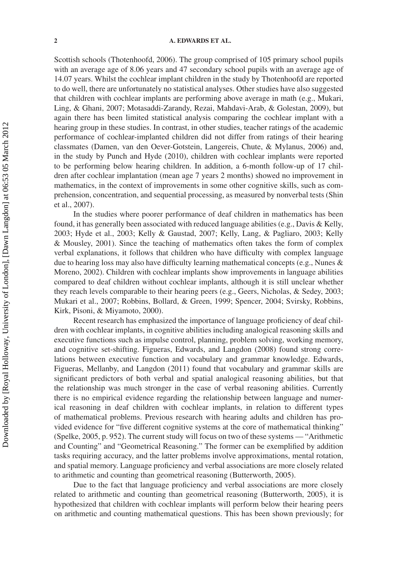Scottish schools (Thotenhoofd, 2006). The group comprised of 105 primary school pupils with an average age of 8.06 years and 47 secondary school pupils with an average age of 14.07 years. Whilst the cochlear implant children in the study by Thotenhoofd are reported to do well, there are unfortunately no statistical analyses. Other studies have also suggested that children with cochlear implants are performing above average in math (e.g., Mukari, Ling, & Ghani, 2007; Motasaddi-Zarandy, Rezai, Mahdavi-Arab, & Golestan, 2009), but again there has been limited statistical analysis comparing the cochlear implant with a hearing group in these studies. In contrast, in other studies, teacher ratings of the academic performance of cochlear-implanted children did not differ from ratings of their hearing classmates (Damen, van den Oever-Gotstein, Langereis, Chute, & Mylanus, 2006) and, in the study by Punch and Hyde (2010), children with cochlear implants were reported to be performing below hearing children. In addition, a 6-month follow-up of 17 children after cochlear implantation (mean age 7 years 2 months) showed no improvement in mathematics, in the context of improvements in some other cognitive skills, such as comprehension, concentration, and sequential processing, as measured by nonverbal tests (Shin et al., 2007).

In the studies where poorer performance of deaf children in mathematics has been found, it has generally been associated with reduced language abilities (e.g., Davis & Kelly, 2003; Hyde et al., 2003; Kelly & Gaustad, 2007; Kelly, Lang, & Pagliaro, 2003; Kelly & Mousley, 2001). Since the teaching of mathematics often takes the form of complex verbal explanations, it follows that children who have difficulty with complex language due to hearing loss may also have difficulty learning mathematical concepts (e.g., Nunes & Moreno, 2002). Children with cochlear implants show improvements in language abilities compared to deaf children without cochlear implants, although it is still unclear whether they reach levels comparable to their hearing peers (e.g., Geers, Nicholas, & Sedey, 2003; Mukari et al., 2007; Robbins, Bollard, & Green, 1999; Spencer, 2004; Svirsky, Robbins, Kirk, Pisoni, & Miyamoto, 2000).

Recent research has emphasized the importance of language proficiency of deaf children with cochlear implants, in cognitive abilities including analogical reasoning skills and executive functions such as impulse control, planning, problem solving, working memory, and cognitive set-shifting. Figueras, Edwards, and Langdon (2008) found strong correlations between executive function and vocabulary and grammar knowledge. Edwards, Figueras, Mellanby, and Langdon (2011) found that vocabulary and grammar skills are significant predictors of both verbal and spatial analogical reasoning abilities, but that the relationship was much stronger in the case of verbal reasoning abilities. Currently there is no empirical evidence regarding the relationship between language and numerical reasoning in deaf children with cochlear implants, in relation to different types of mathematical problems. Previous research with hearing adults and children has provided evidence for "five different cognitive systems at the core of mathematical thinking" (Spelke, 2005, p. 952). The current study will focus on two of these systems — "Arithmetic and Counting" and "Geometrical Reasoning." The former can be exemplified by addition tasks requiring accuracy, and the latter problems involve approximations, mental rotation, and spatial memory. Language proficiency and verbal associations are more closely related to arithmetic and counting than geometrical reasoning (Butterworth, 2005).

Due to the fact that language proficiency and verbal associations are more closely related to arithmetic and counting than geometrical reasoning (Butterworth, 2005), it is hypothesized that children with cochlear implants will perform below their hearing peers on arithmetic and counting mathematical questions. This has been shown previously; for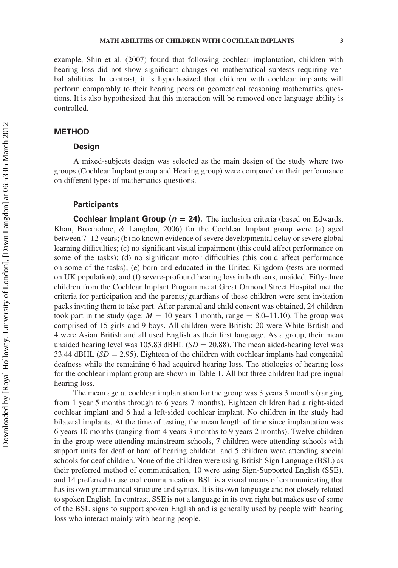example, Shin et al. (2007) found that following cochlear implantation, children with hearing loss did not show significant changes on mathematical subtests requiring verbal abilities. In contrast, it is hypothesized that children with cochlear implants will perform comparably to their hearing peers on geometrical reasoning mathematics questions. It is also hypothesized that this interaction will be removed once language ability is controlled.

# **METHOD**

## **Design**

A mixed-subjects design was selected as the main design of the study where two groups (Cochlear Implant group and Hearing group) were compared on their performance on different types of mathematics questions.

#### **Participants**

**Cochlear Implant Group (** $n = 24$ **).** The inclusion criteria (based on Edwards, Khan, Broxholme, & Langdon, 2006) for the Cochlear Implant group were (a) aged between 7–12 years; (b) no known evidence of severe developmental delay or severe global learning difficulties; (c) no significant visual impairment (this could affect performance on some of the tasks); (d) no significant motor difficulties (this could affect performance on some of the tasks); (e) born and educated in the United Kingdom (tests are normed on UK population); and (f) severe-profound hearing loss in both ears, unaided. Fifty-three children from the Cochlear Implant Programme at Great Ormond Street Hospital met the criteria for participation and the parents*/*guardians of these children were sent invitation packs inviting them to take part. After parental and child consent was obtained, 24 children took part in the study (age:  $M = 10$  years 1 month, range  $= 8.0{\text -}11.10$ ). The group was comprised of 15 girls and 9 boys. All children were British; 20 were White British and 4 were Asian British and all used English as their first language. As a group, their mean unaided hearing level was 105.83 dBHL  $(SD = 20.88)$ . The mean aided-hearing level was 33.44 dBHL  $(SD = 2.95)$ . Eighteen of the children with cochlear implants had congenital deafness while the remaining 6 had acquired hearing loss. The etiologies of hearing loss for the cochlear implant group are shown in Table 1. All but three children had prelingual hearing loss.

The mean age at cochlear implantation for the group was 3 years 3 months (ranging from 1 year 5 months through to 6 years 7 months). Eighteen children had a right-sided cochlear implant and 6 had a left-sided cochlear implant. No children in the study had bilateral implants. At the time of testing, the mean length of time since implantation was 6 years 10 months (ranging from 4 years 3 months to 9 years 2 months). Twelve children in the group were attending mainstream schools, 7 children were attending schools with support units for deaf or hard of hearing children, and 5 children were attending special schools for deaf children. None of the children were using British Sign Language (BSL) as their preferred method of communication, 10 were using Sign-Supported English (SSE), and 14 preferred to use oral communication. BSL is a visual means of communicating that has its own grammatical structure and syntax. It is its own language and not closely related to spoken English. In contrast, SSE is not a language in its own right but makes use of some of the BSL signs to support spoken English and is generally used by people with hearing loss who interact mainly with hearing people.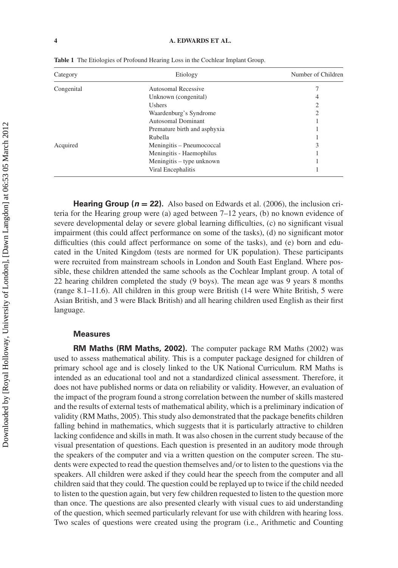| Category   | Etiology                     | Number of Children |
|------------|------------------------------|--------------------|
| Congenital | Autosomal Recessive          |                    |
|            | Unknown (congenital)         | 4                  |
|            | <b>Ushers</b>                | 2                  |
|            | Waardenburg's Syndrome       | 2                  |
|            | Autosomal Dominant           |                    |
|            | Premature birth and asphyxia |                    |
|            | Rubella                      |                    |
| Acquired   | Meningitis – Pneumococcal    | 3                  |
|            | Meningitis - Haemophilus     |                    |
|            | Meningitis – type unknown    |                    |
|            | Viral Encephalitis           |                    |

**Table 1** The Etiologies of Profound Hearing Loss in the Cochlear Implant Group.

**Hearing Group (** $n = 22$ **).** Also based on Edwards et al. (2006), the inclusion criteria for the Hearing group were (a) aged between 7–12 years, (b) no known evidence of severe developmental delay or severe global learning difficulties, (c) no significant visual impairment (this could affect performance on some of the tasks), (d) no significant motor difficulties (this could affect performance on some of the tasks), and (e) born and educated in the United Kingdom (tests are normed for UK population). These participants were recruited from mainstream schools in London and South East England. Where possible, these children attended the same schools as the Cochlear Implant group. A total of 22 hearing children completed the study (9 boys). The mean age was 9 years 8 months (range 8.1–11.6). All children in this group were British (14 were White British, 5 were Asian British, and 3 were Black British) and all hearing children used English as their first language.

# **Measures**

**RM Maths (RM Maths, 2002).** The computer package RM Maths (2002) was used to assess mathematical ability. This is a computer package designed for children of primary school age and is closely linked to the UK National Curriculum. RM Maths is intended as an educational tool and not a standardized clinical assessment. Therefore, it does not have published norms or data on reliability or validity. However, an evaluation of the impact of the program found a strong correlation between the number of skills mastered and the results of external tests of mathematical ability, which is a preliminary indication of validity (RM Maths, 2005). This study also demonstrated that the package benefits children falling behind in mathematics, which suggests that it is particularly attractive to children lacking confidence and skills in math. It was also chosen in the current study because of the visual presentation of questions. Each question is presented in an auditory mode through the speakers of the computer and via a written question on the computer screen. The students were expected to read the question themselves and*/*or to listen to the questions via the speakers. All children were asked if they could hear the speech from the computer and all children said that they could. The question could be replayed up to twice if the child needed to listen to the question again, but very few children requested to listen to the question more than once. The questions are also presented clearly with visual cues to aid understanding of the question, which seemed particularly relevant for use with children with hearing loss. Two scales of questions were created using the program (i.e., Arithmetic and Counting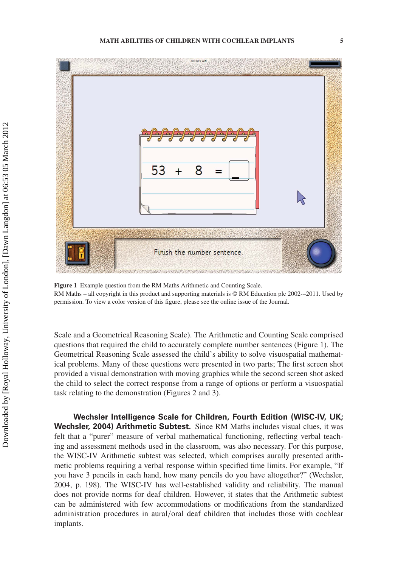

**Figure 1** Example question from the RM Maths Arithmetic and Counting Scale. RM Maths – all copyright in this product and supporting materials is © RM Education plc 2002-–2011. Used by permission. To view a color version of this figure, please see the online issue of the Journal.

Scale and a Geometrical Reasoning Scale). The Arithmetic and Counting Scale comprised questions that required the child to accurately complete number sentences (Figure 1). The Geometrical Reasoning Scale assessed the child's ability to solve visuospatial mathematical problems. Many of these questions were presented in two parts; The first screen shot provided a visual demonstration with moving graphics while the second screen shot asked the child to select the correct response from a range of options or perform a visuospatial task relating to the demonstration (Figures 2 and 3).

**Wechsler Intelligence Scale for Children, Fourth Edition (WISC-IV, UK; Wechsler, 2004) Arithmetic Subtest.** Since RM Maths includes visual clues, it was felt that a "purer" measure of verbal mathematical functioning, reflecting verbal teaching and assessment methods used in the classroom, was also necessary. For this purpose, the WISC-IV Arithmetic subtest was selected, which comprises aurally presented arithmetic problems requiring a verbal response within specified time limits. For example, "If you have 3 pencils in each hand, how many pencils do you have altogether?" (Wechsler, 2004, p. 198). The WISC-IV has well-established validity and reliability. The manual does not provide norms for deaf children. However, it states that the Arithmetic subtest can be administered with few accommodations or modifications from the standardized administration procedures in aural*/*oral deaf children that includes those with cochlear implants.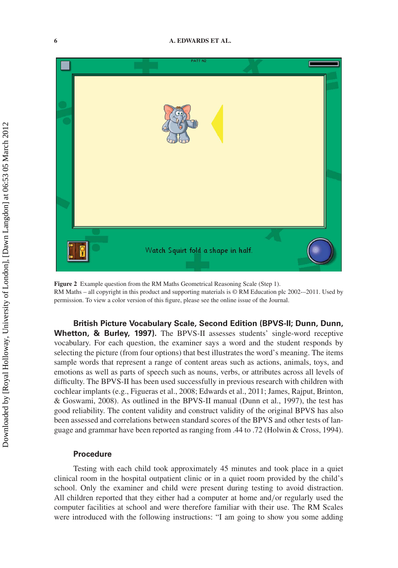

**Figure 2** Example question from the RM Maths Geometrical Reasoning Scale (Step 1). RM Maths – all copyright in this product and supporting materials is © RM Education plc 2002-–2011. Used by permission. To view a color version of this figure, please see the online issue of the Journal.

**British Picture Vocabulary Scale, Second Edition (BPVS-II; Dunn, Dunn, Whetton, & Burley, 1997).** The BPVS-II assesses students' single-word receptive vocabulary. For each question, the examiner says a word and the student responds by selecting the picture (from four options) that best illustrates the word's meaning. The items sample words that represent a range of content areas such as actions, animals, toys, and emotions as well as parts of speech such as nouns, verbs, or attributes across all levels of difficulty. The BPVS-II has been used successfully in previous research with children with cochlear implants (e.g., Figueras et al., 2008; Edwards et al., 2011; James, Rajput, Brinton, & Goswami, 2008). As outlined in the BPVS-II manual (Dunn et al., 1997), the test has good reliability. The content validity and construct validity of the original BPVS has also been assessed and correlations between standard scores of the BPVS and other tests of language and grammar have been reported as ranging from .44 to .72 (Holwin & Cross, 1994).

#### **Procedure**

Testing with each child took approximately 45 minutes and took place in a quiet clinical room in the hospital outpatient clinic or in a quiet room provided by the child's school. Only the examiner and child were present during testing to avoid distraction. All children reported that they either had a computer at home and*/*or regularly used the computer facilities at school and were therefore familiar with their use. The RM Scales were introduced with the following instructions: "I am going to show you some adding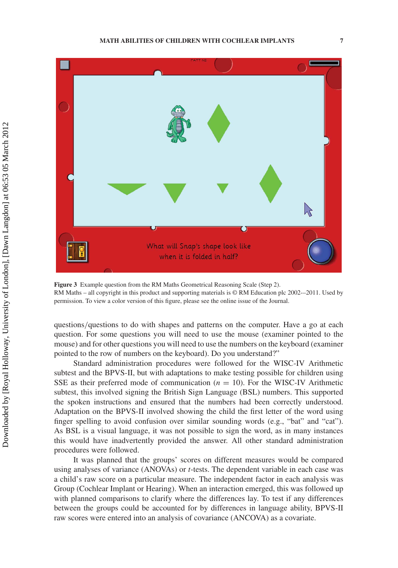

**Figure 3** Example question from the RM Maths Geometrical Reasoning Scale (Step 2). RM Maths – all copyright in this product and supporting materials is © RM Education plc 2002-–2011. Used by permission. To view a color version of this figure, please see the online issue of the Journal.

questions*/*questions to do with shapes and patterns on the computer. Have a go at each question. For some questions you will need to use the mouse (examiner pointed to the mouse) and for other questions you will need to use the numbers on the keyboard (examiner pointed to the row of numbers on the keyboard). Do you understand?"

Standard administration procedures were followed for the WISC-IV Arithmetic subtest and the BPVS-II, but with adaptations to make testing possible for children using SSE as their preferred mode of communication  $(n = 10)$ . For the WISC-IV Arithmetic subtest, this involved signing the British Sign Language (BSL) numbers. This supported the spoken instructions and ensured that the numbers had been correctly understood. Adaptation on the BPVS-II involved showing the child the first letter of the word using finger spelling to avoid confusion over similar sounding words (e.g., "bat" and "cat"). As BSL is a visual language, it was not possible to sign the word, as in many instances this would have inadvertently provided the answer. All other standard administration procedures were followed.

It was planned that the groups' scores on different measures would be compared using analyses of variance (ANOVAs) or *t*-tests. The dependent variable in each case was a child's raw score on a particular measure. The independent factor in each analysis was Group (Cochlear Implant or Hearing). When an interaction emerged, this was followed up with planned comparisons to clarify where the differences lay. To test if any differences between the groups could be accounted for by differences in language ability, BPVS-II raw scores were entered into an analysis of covariance (ANCOVA) as a covariate.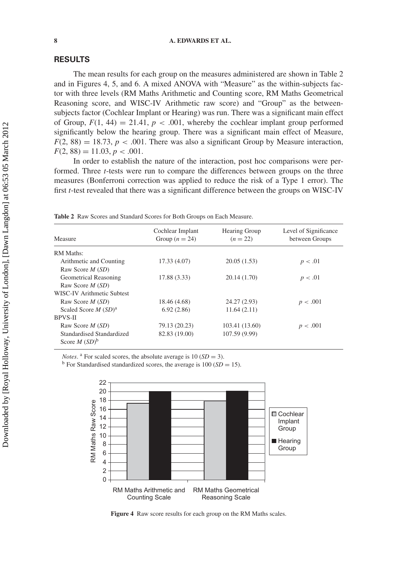#### **RESULTS**

The mean results for each group on the measures administered are shown in Table 2 and in Figures 4, 5, and 6. A mixed ANOVA with "Measure" as the within-subjects factor with three levels (RM Maths Arithmetic and Counting score, RM Maths Geometrical Reasoning score, and WISC-IV Arithmetic raw score) and "Group" as the betweensubjects factor (Cochlear Implant or Hearing) was run. There was a significant main effect of Group,  $F(1, 44) = 21.41$ ,  $p < .001$ , whereby the cochlear implant group performed significantly below the hearing group. There was a significant main effect of Measure,  $F(2, 88) = 18.73$ ,  $p < .001$ . There was also a significant Group by Measure interaction,  $F(2, 88) = 11.03, p < .001.$ 

In order to establish the nature of the interaction, post hoc comparisons were performed. Three *t*-tests were run to compare the differences between groups on the three measures (Bonferroni correction was applied to reduce the risk of a Type 1 error). The first *t*-test revealed that there was a significant difference between the groups on WISC-IV

| Measure                    | Cochlear Implant<br>Group ( $n = 24$ ) | <b>Hearing Group</b><br>$(n = 22)$ | Level of Significance<br>between Groups |
|----------------------------|----------------------------------------|------------------------------------|-----------------------------------------|
| <b>RM</b> Maths:           |                                        |                                    |                                         |
| Arithmetic and Counting    | 17.33 (4.07)                           | 20.05(1.53)                        | p < .01                                 |
| Raw Score $M(SD)$          |                                        |                                    |                                         |
| Geometrical Reasoning      | 17.88 (3.33)                           | 20.14 (1.70)                       | p < .01                                 |
| Raw Score $M(SD)$          |                                        |                                    |                                         |
| WISC-IV Arithmetic Subtest |                                        |                                    |                                         |
| Raw Score $M(SD)$          | 18.46 (4.68)                           | 24.27 (2.93)                       | p < .001                                |
| Scaled Score $M(SD)^a$     | 6.92(2.86)                             | 11.64(2.11)                        |                                         |
| <b>RPVS-II</b>             |                                        |                                    |                                         |
| Raw Score $M(SD)$          | 79.13 (20.23)                          | 103.41 (13.60)                     | p < .001                                |
| Standardised Standardized  | 82.83 (19.00)                          | 107.59 (9.99)                      |                                         |
| Score $M(SD)^b$            |                                        |                                    |                                         |

**Table 2** Raw Scores and Standard Scores for Both Groups on Each Measure.

*Notes*. <sup>a</sup> For scaled scores, the absolute average is 10 (*SD* = 3). b For Standardised standardized scores, the average is 100 (*SD* = 15).



**Figure 4** Raw score results for each group on the RM Maths scales.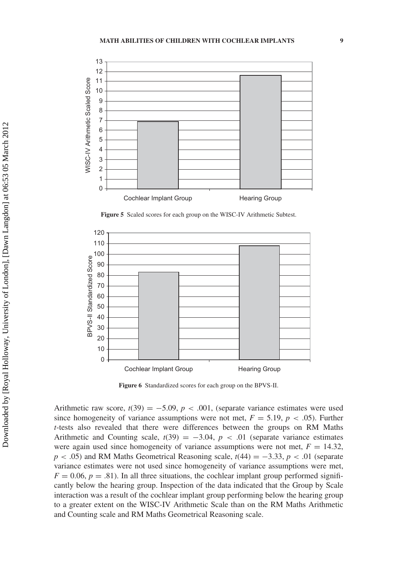

**Figure 5** Scaled scores for each group on the WISC-IV Arithmetic Subtest.



**Figure 6** Standardized scores for each group on the BPVS-II.

Arithmetic raw score,  $t(39) = -5.09$ ,  $p < .001$ , (separate variance estimates were used since homogeneity of variance assumptions were not met,  $F = 5.19$ ,  $p < .05$ ). Further *t*-tests also revealed that there were differences between the groups on RM Maths Arithmetic and Counting scale,  $t(39) = -3.04$ ,  $p < .01$  (separate variance estimates were again used since homogeneity of variance assumptions were not met,  $F = 14.32$ ,  $p < .05$ ) and RM Maths Geometrical Reasoning scale,  $t(44) = -3.33, p < .01$  (separate variance estimates were not used since homogeneity of variance assumptions were met,  $F = 0.06$ ,  $p = .81$ ). In all three situations, the cochlear implant group performed significantly below the hearing group. Inspection of the data indicated that the Group by Scale interaction was a result of the cochlear implant group performing below the hearing group to a greater extent on the WISC-IV Arithmetic Scale than on the RM Maths Arithmetic and Counting scale and RM Maths Geometrical Reasoning scale.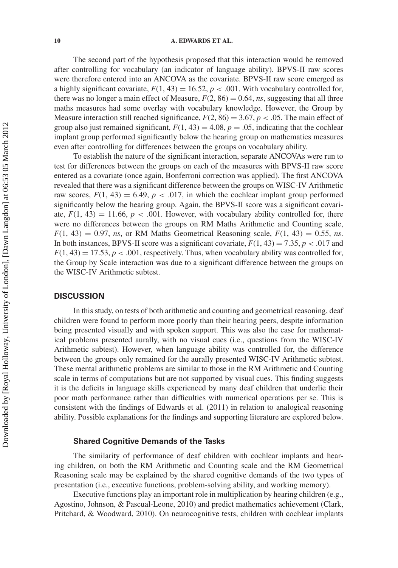The second part of the hypothesis proposed that this interaction would be removed after controlling for vocabulary (an indicator of language ability). BPVS-II raw scores were therefore entered into an ANCOVA as the covariate. BPVS-II raw score emerged as a highly significant covariate,  $F(1, 43) = 16.52$ ,  $p < .001$ . With vocabulary controlled for, there was no longer a main effect of Measure,  $F(2, 86) = 0.64$ , *ns*, suggesting that all three maths measures had some overlay with vocabulary knowledge. However, the Group by Measure interaction still reached significance,  $F(2, 86) = 3.67$ ,  $p < .05$ . The main effect of group also just remained significant,  $F(1, 43) = 4.08$ ,  $p = .05$ , indicating that the cochlear implant group performed significantly below the hearing group on mathematics measures even after controlling for differences between the groups on vocabulary ability.

To establish the nature of the significant interaction, separate ANCOVAs were run to test for differences between the groups on each of the measures with BPVS-II raw score entered as a covariate (once again, Bonferroni correction was applied). The first ANCOVA revealed that there was a significant difference between the groups on WISC-IV Arithmetic raw scores,  $F(1, 43) = 6.49$ ,  $p < .017$ , in which the cochlear implant group performed significantly below the hearing group. Again, the BPVS-II score was a significant covariate,  $F(1, 43) = 11.66$ ,  $p < .001$ . However, with vocabulary ability controlled for, there were no differences between the groups on RM Maths Arithmetic and Counting scale,  $F(1, 43) = 0.97$ , *ns*, or RM Maths Geometrical Reasoning scale,  $F(1, 43) = 0.55$ , *ns*. In both instances, BPVS-II score was a significant covariate,  $F(1, 43) = 7.35$ ,  $p < .017$  and  $F(1, 43) = 17.53$ ,  $p < .001$ , respectively. Thus, when vocabulary ability was controlled for, the Group by Scale interaction was due to a significant difference between the groups on the WISC-IV Arithmetic subtest.

## **DISCUSSION**

In this study, on tests of both arithmetic and counting and geometrical reasoning, deaf children were found to perform more poorly than their hearing peers, despite information being presented visually and with spoken support. This was also the case for mathematical problems presented aurally, with no visual cues (i.e., questions from the WISC-IV Arithmetic subtest). However, when language ability was controlled for, the difference between the groups only remained for the aurally presented WISC-IV Arithmetic subtest. These mental arithmetic problems are similar to those in the RM Arithmetic and Counting scale in terms of computations but are not supported by visual cues. This finding suggests it is the deficits in language skills experienced by many deaf children that underlie their poor math performance rather than difficulties with numerical operations per se. This is consistent with the findings of Edwards et al. (2011) in relation to analogical reasoning ability. Possible explanations for the findings and supporting literature are explored below.

#### **Shared Cognitive Demands of the Tasks**

The similarity of performance of deaf children with cochlear implants and hearing children, on both the RM Arithmetic and Counting scale and the RM Geometrical Reasoning scale may be explained by the shared cognitive demands of the two types of presentation (i.e., executive functions, problem-solving ability, and working memory).

Executive functions play an important role in multiplication by hearing children (e.g., Agostino, Johnson, & Pascual-Leone, 2010) and predict mathematics achievement (Clark, Pritchard, & Woodward, 2010). On neurocognitive tests, children with cochlear implants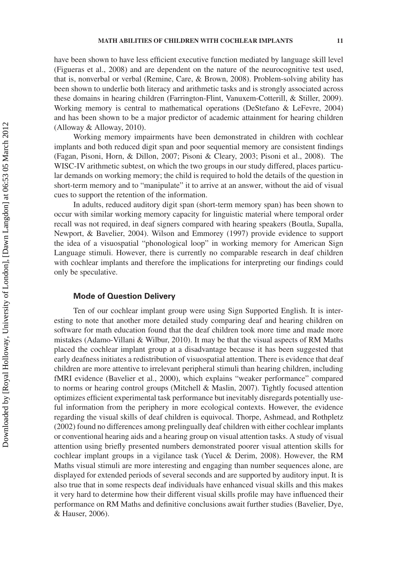have been shown to have less efficient executive function mediated by language skill level (Figueras et al., 2008) and are dependent on the nature of the neurocognitive test used, that is, nonverbal or verbal (Remine, Care, & Brown, 2008). Problem-solving ability has been shown to underlie both literacy and arithmetic tasks and is strongly associated across these domains in hearing children (Farrington-Flint, Vanuxem-Cotterill, & Stiller, 2009). Working memory is central to mathematical operations (DeStefano & LeFevre, 2004) and has been shown to be a major predictor of academic attainment for hearing children (Alloway & Alloway, 2010).

Working memory impairments have been demonstrated in children with cochlear implants and both reduced digit span and poor sequential memory are consistent findings (Fagan, Pisoni, Horn, & Dillon, 2007; Pisoni & Cleary, 2003; Pisoni et al., 2008). The WISC-IV arithmetic subtest, on which the two groups in our study differed, places particular demands on working memory; the child is required to hold the details of the question in short-term memory and to "manipulate" it to arrive at an answer, without the aid of visual cues to support the retention of the information.

In adults, reduced auditory digit span (short-term memory span) has been shown to occur with similar working memory capacity for linguistic material where temporal order recall was not required, in deaf signers compared with hearing speakers (Boutla, Supalla, Newport, & Bavelier, 2004). Wilson and Emmorey (1997) provide evidence to support the idea of a visuospatial "phonological loop" in working memory for American Sign Language stimuli. However, there is currently no comparable research in deaf children with cochlear implants and therefore the implications for interpreting our findings could only be speculative.

#### **Mode of Question Delivery**

Ten of our cochlear implant group were using Sign Supported English. It is interesting to note that another more detailed study comparing deaf and hearing children on software for math education found that the deaf children took more time and made more mistakes (Adamo-Villani & Wilbur, 2010). It may be that the visual aspects of RM Maths placed the cochlear implant group at a disadvantage because it has been suggested that early deafness initiates a redistribution of visuospatial attention. There is evidence that deaf children are more attentive to irrelevant peripheral stimuli than hearing children, including fMRI evidence (Bavelier et al., 2000), which explains "weaker performance" compared to norms or hearing control groups (Mitchell & Maslin, 2007). Tightly focused attention optimizes efficient experimental task performance but inevitably disregards potentially useful information from the periphery in more ecological contexts. However, the evidence regarding the visual skills of deaf children is equivocal. Thorpe, Ashmead, and Rothpletz (2002) found no differences among prelingually deaf children with either cochlear implants or conventional hearing aids and a hearing group on visual attention tasks. A study of visual attention using briefly presented numbers demonstrated poorer visual attention skills for cochlear implant groups in a vigilance task (Yucel & Derim, 2008). However, the RM Maths visual stimuli are more interesting and engaging than number sequences alone, are displayed for extended periods of several seconds and are supported by auditory input. It is also true that in some respects deaf individuals have enhanced visual skills and this makes it very hard to determine how their different visual skills profile may have influenced their performance on RM Maths and definitive conclusions await further studies (Bavelier, Dye, & Hauser, 2006).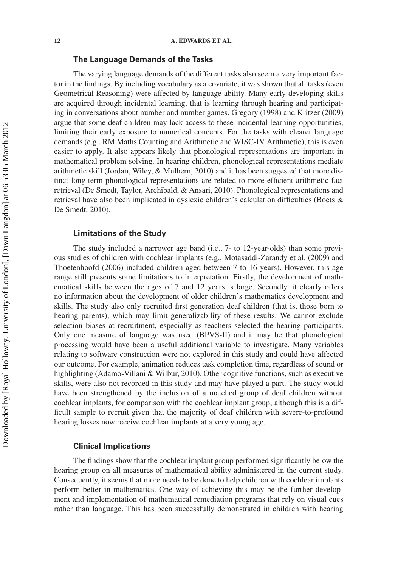#### **The Language Demands of the Tasks**

The varying language demands of the different tasks also seem a very important factor in the findings. By including vocabulary as a covariate, it was shown that all tasks (even Geometrical Reasoning) were affected by language ability. Many early developing skills are acquired through incidental learning, that is learning through hearing and participating in conversations about number and number games. Gregory (1998) and Kritzer (2009) argue that some deaf children may lack access to these incidental learning opportunities, limiting their early exposure to numerical concepts. For the tasks with clearer language demands (e.g., RM Maths Counting and Arithmetic and WISC-IV Arithmetic), this is even easier to apply. It also appears likely that phonological representations are important in mathematical problem solving. In hearing children, phonological representations mediate arithmetic skill (Jordan, Wiley, & Mulhern, 2010) and it has been suggested that more distinct long-term phonological representations are related to more efficient arithmetic fact retrieval (De Smedt, Taylor, Archibald, & Ansari, 2010). Phonological representations and retrieval have also been implicated in dyslexic children's calculation difficulties (Boets & De Smedt, 2010).

# **Limitations of the Study**

The study included a narrower age band (i.e., 7- to 12-year-olds) than some previous studies of children with cochlear implants (e.g., Motasaddi-Zarandy et al. (2009) and Thoetenhoofd (2006) included children aged between 7 to 16 years). However, this age range still presents some limitations to interpretation. Firstly, the development of mathematical skills between the ages of 7 and 12 years is large. Secondly, it clearly offers no information about the development of older children's mathematics development and skills. The study also only recruited first generation deaf children (that is, those born to hearing parents), which may limit generalizability of these results. We cannot exclude selection biases at recruitment, especially as teachers selected the hearing participants. Only one measure of language was used (BPVS-II) and it may be that phonological processing would have been a useful additional variable to investigate. Many variables relating to software construction were not explored in this study and could have affected our outcome. For example, animation reduces task completion time, regardless of sound or highlighting (Adamo-Villani & Wilbur, 2010). Other cognitive functions, such as executive skills, were also not recorded in this study and may have played a part. The study would have been strengthened by the inclusion of a matched group of deaf children without cochlear implants, for comparison with the cochlear implant group; although this is a difficult sample to recruit given that the majority of deaf children with severe-to-profound hearing losses now receive cochlear implants at a very young age.

# **Clinical Implications**

The findings show that the cochlear implant group performed significantly below the hearing group on all measures of mathematical ability administered in the current study. Consequently, it seems that more needs to be done to help children with cochlear implants perform better in mathematics. One way of achieving this may be the further development and implementation of mathematical remediation programs that rely on visual cues rather than language. This has been successfully demonstrated in children with hearing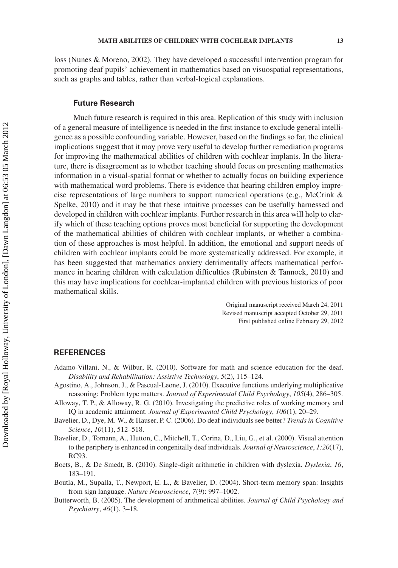loss (Nunes & Moreno, 2002). They have developed a successful intervention program for promoting deaf pupils' achievement in mathematics based on visuospatial representations, such as graphs and tables, rather than verbal-logical explanations.

# **Future Research**

Much future research is required in this area. Replication of this study with inclusion of a general measure of intelligence is needed in the first instance to exclude general intelligence as a possible confounding variable. However, based on the findings so far, the clinical implications suggest that it may prove very useful to develop further remediation programs for improving the mathematical abilities of children with cochlear implants. In the literature, there is disagreement as to whether teaching should focus on presenting mathematics information in a visual-spatial format or whether to actually focus on building experience with mathematical word problems. There is evidence that hearing children employ imprecise representations of large numbers to support numerical operations (e.g., McCrink & Spelke, 2010) and it may be that these intuitive processes can be usefully harnessed and developed in children with cochlear implants. Further research in this area will help to clarify which of these teaching options proves most beneficial for supporting the development of the mathematical abilities of children with cochlear implants, or whether a combination of these approaches is most helpful. In addition, the emotional and support needs of children with cochlear implants could be more systematically addressed. For example, it has been suggested that mathematics anxiety detrimentally affects mathematical performance in hearing children with calculation difficulties (Rubinsten  $\&$  Tannock, 2010) and this may have implications for cochlear-implanted children with previous histories of poor mathematical skills.

> Original manuscript received March 24, 2011 Revised manuscript accepted October 29, 2011 First published online February 29, 2012

# **REFERENCES**

- Adamo-Villani, N., & Wilbur, R. (2010). Software for math and science education for the deaf. *Disability and Rehabilitation: Assistive Technology*, *5*(2), 115–124.
- Agostino, A., Johnson, J., & Pascual-Leone, J. (2010). Executive functions underlying multiplicative reasoning: Problem type matters. *Journal of Experimental Child Psychology*, *105*(4), 286–305.
- Alloway, T. P., & Alloway, R. G. (2010). Investigating the predictive roles of working memory and IQ in academic attainment. *Journal of Experimental Child Psychology*, *106*(1), 20–29.
- Bavelier, D., Dye, M. W., & Hauser, P. C. (2006). Do deaf individuals see better? *Trends in Cognitive Science*, *10*(11), 512–518.
- Bavelier, D., Tomann, A., Hutton, C., Mitchell, T., Corina, D., Liu, G., et al. (2000). Visual attention to the periphery is enhanced in congenitally deaf individuals. *Journal of Neuroscience*, *1:20*(17), RC93.
- Boets, B., & De Smedt, B. (2010). Single-digit arithmetic in children with dyslexia. *Dyslexia*, *16*, 183–191.
- Boutla, M., Supalla, T., Newport, E. L., & Bavelier, D. (2004). Short-term memory span: Insights from sign language. *Nature Neuroscience*, *7*(9): 997–1002.
- Butterworth, B. (2005). The development of arithmetical abilities. *Journal of Child Psychology and Psychiatry*, *46*(1), 3–18.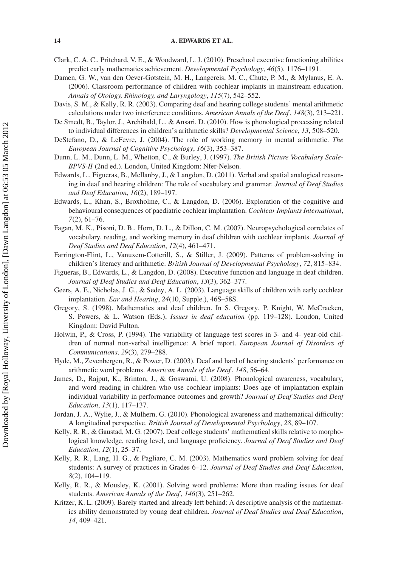- Clark, C. A. C., Pritchard, V. E., & Woodward, L. J. (2010). Preschool executive functioning abilities predict early mathematics achievement. *Developmental Psychology*, *46*(5), 1176–1191.
- Damen, G. W., van den Oever-Gotstein, M. H., Langereis, M. C., Chute, P. M., & Mylanus, E. A. (2006). Classroom performance of children with cochlear implants in mainstream education. *Annals of Otology, Rhinology, and Laryngology*, *115*(7), 542–552.
- Davis, S. M., & Kelly, R. R. (2003). Comparing deaf and hearing college students' mental arithmetic calculations under two interference conditions. *American Annals of the Deaf* , *148*(3), 213–221.
- De Smedt, B., Taylor, J., Archibald, L., & Ansari, D. (2010). How is phonological processing related to individual differences in children's arithmetic skills? *Developmental Science*, *13*, 508–520.
- DeStefano, D., & LeFevre, J. (2004). The role of working memory in mental arithmetic. *The European Journal of Cognitive Psychology*, *16*(3), 353–387.
- Dunn, L. M., Dunn, L. M., Whetton, C., & Burley, J. (1997). *The British Picture Vocabulary Scale-BPVS-II* (2nd ed.). London, United Kingdom: Nfer-Nelson.
- Edwards, L., Figueras, B., Mellanby, J., & Langdon, D. (2011). Verbal and spatial analogical reasoning in deaf and hearing children: The role of vocabulary and grammar. *Journal of Deaf Studies and Deaf Education*, *16*(2), 189–197.
- Edwards, L., Khan, S., Broxholme, C., & Langdon, D. (2006). Exploration of the cognitive and behavioural consequences of paediatric cochlear implantation. *Cochlear Implants International*, *7*(2), 61–76.
- Fagan, M. K., Pisoni, D. B., Horn, D. L., & Dillon, C. M. (2007). Neuropsychological correlates of vocabulary, reading, and working memory in deaf children with cochlear implants. *Journal of Deaf Studies and Deaf Education*, *12*(4), 461–471.
- Farrington-Flint, L., Vanuxem-Cotterill, S., & Stiller, J. (2009). Patterns of problem-solving in children's literacy and arithmetic. *British Journal of Developmental Psychology*, *72*, 815–834.
- Figueras, B., Edwards, L., & Langdon, D. (2008). Executive function and language in deaf children. *Journal of Deaf Studies and Deaf Education*, *13*(3), 362–377.
- Geers, A. E., Nicholas, J. G., & Sedey, A. L. (2003). Language skills of children with early cochlear implantation. *Ear and Hearing*, *24*(10, Supple.), 46S–58S.
- Gregory, S. (1998). Mathematics and deaf children. In S. Gregory, P. Knight, W. McCracken, S. Powers, & L. Watson (Eds.), *Issues in deaf education* (pp. 119–128). London, United Kingdom: David Fulton.
- Holwin, P., & Cross, P. (1994). The variability of language test scores in 3- and 4- year-old children of normal non-verbal intelligence: A brief report. *European Journal of Disorders of Communications*, *29*(3), 279–288.
- Hyde, M., Zevenbergen, R., & Power, D. (2003). Deaf and hard of hearing students' performance on arithmetic word problems. *American Annals of the Deaf* , *148*, 56–64.
- James, D., Rajput, K., Brinton, J., & Goswami, U. (2008). Phonological awareness, vocabulary, and word reading in children who use cochlear implants: Does age of implantation explain individual variability in performance outcomes and growth? *Journal of Deaf Studies and Deaf Education*, *13*(1), 117–137.
- Jordan, J. A., Wylie, J., & Mulhern, G. (2010). Phonological awareness and mathematical difficulty: A longitudinal perspective. *British Journal of Developmental Psychology*, *28*, 89–107.
- Kelly, R. R., & Gaustad, M. G. (2007). Deaf college students' mathematical skills relative to morphological knowledge, reading level, and language proficiency. *Journal of Deaf Studies and Deaf Education*, *12*(1), 25–37.
- Kelly, R. R., Lang, H. G., & Pagliaro, C. M. (2003). Mathematics word problem solving for deaf students: A survey of practices in Grades 6–12. *Journal of Deaf Studies and Deaf Education*, *8*(2), 104–119.
- Kelly, R. R., & Mousley, K. (2001). Solving word problems: More than reading issues for deaf students. *American Annals of the Deaf* , *146*(3), 251–262.
- Kritzer, K. L. (2009). Barely started and already left behind: A descriptive analysis of the mathematics ability demonstrated by young deaf children. *Journal of Deaf Studies and Deaf Education*, *14*, 409–421.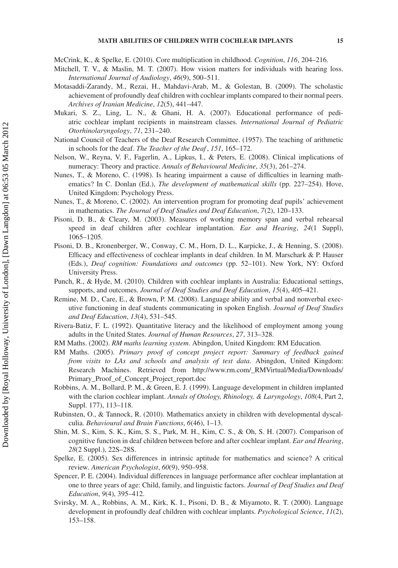McCrink, K., & Spelke, E. (2010). Core multiplication in childhood. *Cognition*, *116*, 204–216.

- Mitchell, T. V., & Maslin, M. T. (2007). How vision matters for individuals with hearing loss. *International Journal of Audiology*, *46*(9), 500–511.
- Motasaddi-Zarandy, M., Rezai, H., Mahdavi-Arab, M., & Golestan, B. (2009). The scholastic achievement of profoundly deaf children with cochlear implants compared to their normal peers. *Archives of Iranian Medicine*, *12*(5), 441–447.
- Mukari, S. Z., Ling, L. N., & Ghani, H. A. (2007). Educational performance of pediatric cochlear implant recipients in mainstream classes. *International Journal of Pediatric Otorhinolaryngology*, *71*, 231–240.
- National Council of Teachers of the Deaf Research Committee. (1957). The teaching of arithmetic in schools for the deaf. *The Teacher of the Deaf* , *151*, 165–172.
- Nelson, W., Reyna, V. F., Fagerlin, A., Lipkus, I., & Peters, E. (2008). Clinical implications of numeracy: Theory and practice. *Annals of Behavioural Medicine*, *35*(3), 261–274.
- Nunes, T., & Moreno, C. (1998). Is hearing impairment a cause of difficulties in learning mathematics? In C. Donlan (Ed.), *The development of mathematical skills* (pp. 227–254). Hove, United Kingdom: Psychology Press.
- Nunes, T., & Moreno, C. (2002). An intervention program for promoting deaf pupils' achievement in mathematics. *The Journal of Deaf Studies and Deaf Education*, *7*(2), 120–133.
- Pisoni, D. B., & Cleary, M. (2003). Measures of working memory span and verbal rehearsal speed in deaf children after cochlear implantation. *Ear and Hearing*, *24*(1 Suppl), 1065–1205.
- Pisoni, D. B., Kronenberger, W., Conway, C. M., Horn, D. L., Karpicke, J., & Henning, S. (2008). Efficacy and effectiveness of cochlear implants in deaf children. In M. Marschark & P. Hauser (Eds.), *Deaf cognition: Foundations and outcomes* (pp. 52–101). New York, NY: Oxford University Press.
- Punch, R., & Hyde, M. (2010). Children with cochlear implants in Australia: Educational settings, supports, and outcomes. *Journal of Deaf Studies and Deaf Education*, *15*(4), 405–421.
- Remine, M. D., Care, E., & Brown, P. M. (2008). Language ability and verbal and nonverbal executive functioning in deaf students communicating in spoken English. *Journal of Deaf Studies and Deaf Education*, *13*(4), 531–545.
- Rivera-Batiz, F. L. (1992). Quantitative literacy and the likelihood of employment among young adults in the United States. *Journal of Human Resources*, *27*, 313–328.
- RM Maths. (2002). *RM maths learning system*. Abingdon, United Kingdom: RM Education.
- RM Maths. (2005). *Primary proof of concept project report: Summary of feedback gained from visits to LAs and schools and analysis of test data*. Abingdon, United Kingdom: Research Machines. Retrieved from [http://www.rm.com/\\_RMVirtual/Media/Downloads/](http://www.rm.com/_RMVirtual/Media/Downloads/Primary_Proof_of_Concept_Project_report.doc) [Primary\\_Proof\\_of\\_Concept\\_Project\\_report.doc](http://www.rm.com/_RMVirtual/Media/Downloads/Primary_Proof_of_Concept_Project_report.doc)
- Robbins, A. M., Bollard, P. M., & Green, E. J. (1999). Language development in children implanted with the clarion cochlear implant. *Annals of Otology, Rhinology, & Laryngology*, *108*(4, Part 2, Suppl. 177), 113–118.
- Rubinsten, O., & Tannock, R. (2010). Mathematics anxiety in children with developmental dyscalculia. *Behavioural and Brain Functions*, *6*(46), 1–13.
- Shin, M. S., Kim, S. K., Kim, S. S., Park, M. H., Kim, C. S., & Oh, S. H. (2007). Comparison of cognitive function in deaf children between before and after cochlear implant. *Ear and Hearing*, *28*(2 Suppl.), 22S–28S.
- Spelke, E. (2005). Sex differences in intrinsic aptitude for mathematics and science? A critical review. *American Psychologist*, *60*(9), 950–958.
- Spencer, P. E. (2004). Individual differences in language performance after cochlear implantation at one to three years of age: Child, family, and linguistic factors. *Journal of Deaf Studies and Deaf Education*, *9*(4), 395–412.
- Svirsky, M. A., Robbins, A. M., Kirk, K. I., Pisoni, D. B., & Miyamoto, R. T. (2000). Language development in profoundly deaf children with cochlear implants. *Psychological Science*, *11*(2), 153–158.